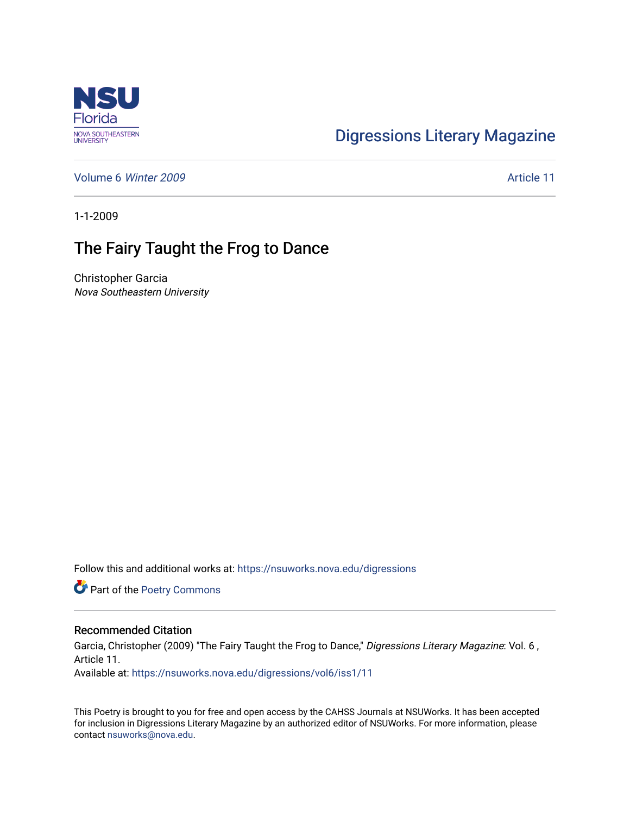

## [Digressions Literary Magazine](https://nsuworks.nova.edu/digressions)

[Volume 6](https://nsuworks.nova.edu/digressions/vol6) Winter 2009 **Article 11** 

1-1-2009

## The Fairy Taught the Frog to Dance

Christopher Garcia Nova Southeastern University

Follow this and additional works at: [https://nsuworks.nova.edu/digressions](https://nsuworks.nova.edu/digressions?utm_source=nsuworks.nova.edu%2Fdigressions%2Fvol6%2Fiss1%2F11&utm_medium=PDF&utm_campaign=PDFCoverPages) 

Part of the [Poetry Commons](http://network.bepress.com/hgg/discipline/1153?utm_source=nsuworks.nova.edu%2Fdigressions%2Fvol6%2Fiss1%2F11&utm_medium=PDF&utm_campaign=PDFCoverPages) 

## Recommended Citation

Garcia, Christopher (2009) "The Fairy Taught the Frog to Dance," Digressions Literary Magazine: Vol. 6, Article 11.

Available at: [https://nsuworks.nova.edu/digressions/vol6/iss1/11](https://nsuworks.nova.edu/digressions/vol6/iss1/11?utm_source=nsuworks.nova.edu%2Fdigressions%2Fvol6%2Fiss1%2F11&utm_medium=PDF&utm_campaign=PDFCoverPages) 

This Poetry is brought to you for free and open access by the CAHSS Journals at NSUWorks. It has been accepted for inclusion in Digressions Literary Magazine by an authorized editor of NSUWorks. For more information, please contact [nsuworks@nova.edu.](mailto:nsuworks@nova.edu)